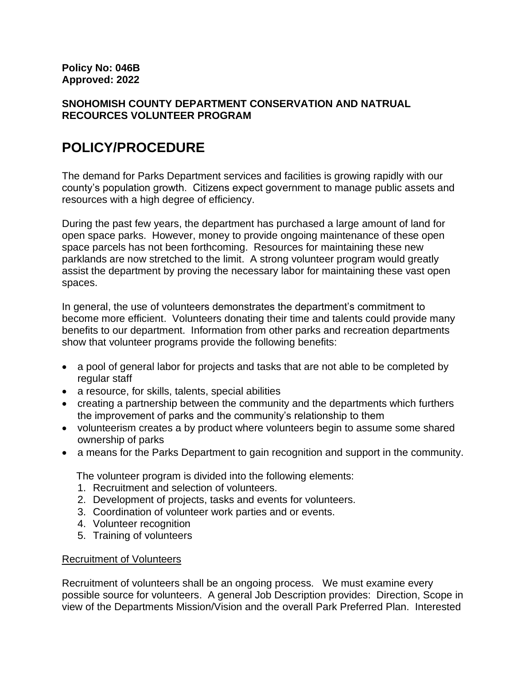## **SNOHOMISH COUNTY DEPARTMENT CONSERVATION AND NATRUAL RECOURCES VOLUNTEER PROGRAM**

# **POLICY/PROCEDURE**

The demand for Parks Department services and facilities is growing rapidly with our county's population growth. Citizens expect government to manage public assets and resources with a high degree of efficiency.

During the past few years, the department has purchased a large amount of land for open space parks. However, money to provide ongoing maintenance of these open space parcels has not been forthcoming. Resources for maintaining these new parklands are now stretched to the limit. A strong volunteer program would greatly assist the department by proving the necessary labor for maintaining these vast open spaces.

In general, the use of volunteers demonstrates the department's commitment to become more efficient. Volunteers donating their time and talents could provide many benefits to our department. Information from other parks and recreation departments show that volunteer programs provide the following benefits:

- a pool of general labor for projects and tasks that are not able to be completed by regular staff
- a resource, for skills, talents, special abilities
- creating a partnership between the community and the departments which furthers the improvement of parks and the community's relationship to them
- volunteerism creates a by product where volunteers begin to assume some shared ownership of parks
- a means for the Parks Department to gain recognition and support in the community.

The volunteer program is divided into the following elements:

- 1. Recruitment and selection of volunteers.
- 2. Development of projects, tasks and events for volunteers.
- 3. Coordination of volunteer work parties and or events.
- 4. Volunteer recognition
- 5. Training of volunteers

## Recruitment of Volunteers

Recruitment of volunteers shall be an ongoing process. We must examine every possible source for volunteers. A general Job Description provides: Direction, Scope in view of the Departments Mission/Vision and the overall Park Preferred Plan. Interested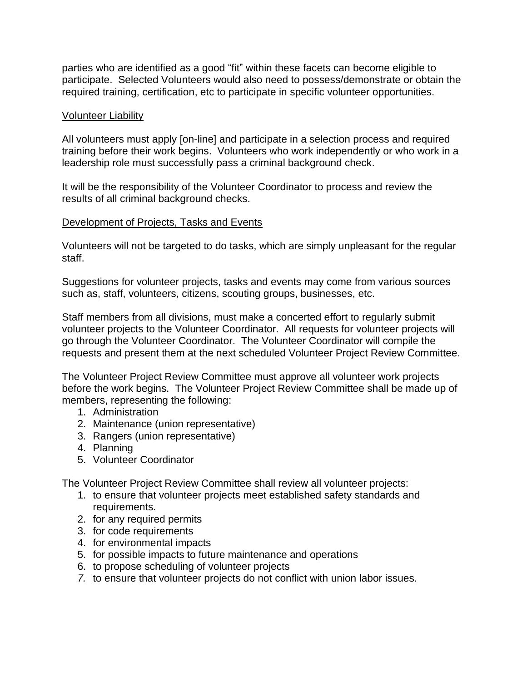parties who are identified as a good "fit" within these facets can become eligible to participate. Selected Volunteers would also need to possess/demonstrate or obtain the required training, certification, etc to participate in specific volunteer opportunities.

#### Volunteer Liability

All volunteers must apply [on-line] and participate in a selection process and required training before their work begins. Volunteers who work independently or who work in a leadership role must successfully pass a criminal background check.

It will be the responsibility of the Volunteer Coordinator to process and review the results of all criminal background checks.

## Development of Projects, Tasks and Events

Volunteers will not be targeted to do tasks, which are simply unpleasant for the regular staff.

Suggestions for volunteer projects, tasks and events may come from various sources such as, staff, volunteers, citizens, scouting groups, businesses, etc.

Staff members from all divisions, must make a concerted effort to regularly submit volunteer projects to the Volunteer Coordinator. All requests for volunteer projects will go through the Volunteer Coordinator. The Volunteer Coordinator will compile the requests and present them at the next scheduled Volunteer Project Review Committee.

The Volunteer Project Review Committee must approve all volunteer work projects before the work begins. The Volunteer Project Review Committee shall be made up of members, representing the following:

- 1. Administration
- 2. Maintenance (union representative)
- 3. Rangers (union representative)
- 4. Planning
- 5. Volunteer Coordinator

The Volunteer Project Review Committee shall review all volunteer projects:

- 1. to ensure that volunteer projects meet established safety standards and requirements.
- 2. for any required permits
- 3. for code requirements
- 4. for environmental impacts
- 5. for possible impacts to future maintenance and operations
- 6. to propose scheduling of volunteer projects
- *7.* to ensure that volunteer projects do not conflict with union labor issues.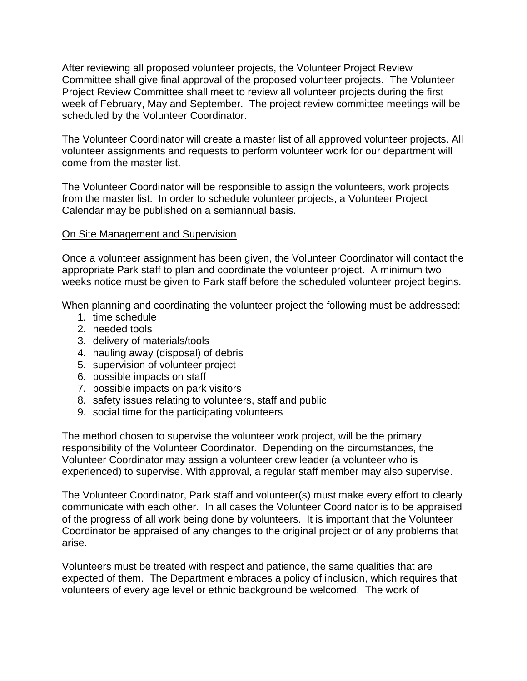After reviewing all proposed volunteer projects, the Volunteer Project Review Committee shall give final approval of the proposed volunteer projects. The Volunteer Project Review Committee shall meet to review all volunteer projects during the first week of February, May and September. The project review committee meetings will be scheduled by the Volunteer Coordinator.

The Volunteer Coordinator will create a master list of all approved volunteer projects. All volunteer assignments and requests to perform volunteer work for our department will come from the master list.

The Volunteer Coordinator will be responsible to assign the volunteers, work projects from the master list. In order to schedule volunteer projects, a Volunteer Project Calendar may be published on a semiannual basis.

### On Site Management and Supervision

Once a volunteer assignment has been given, the Volunteer Coordinator will contact the appropriate Park staff to plan and coordinate the volunteer project. A minimum two weeks notice must be given to Park staff before the scheduled volunteer project begins.

When planning and coordinating the volunteer project the following must be addressed:

- 1. time schedule
- 2. needed tools
- 3. delivery of materials/tools
- 4. hauling away (disposal) of debris
- 5. supervision of volunteer project
- 6. possible impacts on staff
- 7. possible impacts on park visitors
- 8. safety issues relating to volunteers, staff and public
- 9. social time for the participating volunteers

The method chosen to supervise the volunteer work project, will be the primary responsibility of the Volunteer Coordinator. Depending on the circumstances, the Volunteer Coordinator may assign a volunteer crew leader (a volunteer who is experienced) to supervise. With approval, a regular staff member may also supervise.

The Volunteer Coordinator, Park staff and volunteer(s) must make every effort to clearly communicate with each other. In all cases the Volunteer Coordinator is to be appraised of the progress of all work being done by volunteers. It is important that the Volunteer Coordinator be appraised of any changes to the original project or of any problems that arise.

Volunteers must be treated with respect and patience, the same qualities that are expected of them. The Department embraces a policy of inclusion, which requires that volunteers of every age level or ethnic background be welcomed. The work of